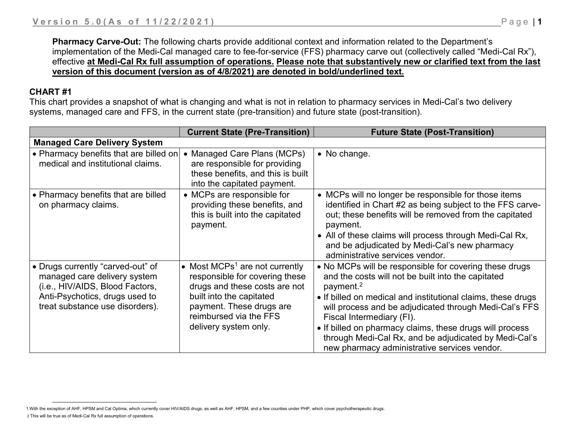**Pharmacy Carve-Out:** The following charts provide additional context and information related to the Department's implementation of the Medi-Cal managed care to fee-for-service (FFS) pharmacy carve out (collectively called "Medi-Cal Rx"), effective **at Medi-Cal Rx full assumption of operations. Please note that substantively new or clarified text from the last version of this document (version as of 4/8/2021) are denoted in bold/underlined text.**

## **CHART #1**

This chart provides a snapshot of what is changing and what is not in relation to pharmacy services in Medi-Cal's two delivery systems, managed care and FFS, in the current state (pre-transition) and future state (post-transition).

|                                                                                                                                                                           | <b>Current State (Pre-Transition)</b>                                                                                                                                                                                    | <b>Future State (Post-Transition)</b>                                                                                                                                                                                                                                                                                                                                                                                                                             |
|---------------------------------------------------------------------------------------------------------------------------------------------------------------------------|--------------------------------------------------------------------------------------------------------------------------------------------------------------------------------------------------------------------------|-------------------------------------------------------------------------------------------------------------------------------------------------------------------------------------------------------------------------------------------------------------------------------------------------------------------------------------------------------------------------------------------------------------------------------------------------------------------|
| <b>Managed Care Delivery System</b>                                                                                                                                       |                                                                                                                                                                                                                          |                                                                                                                                                                                                                                                                                                                                                                                                                                                                   |
| • Pharmacy benefits that are billed on<br>medical and institutional claims.                                                                                               | • Managed Care Plans (MCPs)<br>are responsible for providing<br>these benefits, and this is built<br>into the capitated payment.                                                                                         | • No change.                                                                                                                                                                                                                                                                                                                                                                                                                                                      |
| • Pharmacy benefits that are billed<br>on pharmacy claims.                                                                                                                | • MCPs are responsible for<br>providing these benefits, and<br>this is built into the capitated<br>payment.                                                                                                              | • MCPs will no longer be responsible for those items<br>identified in Chart #2 as being subject to the FFS carve-<br>out; these benefits will be removed from the capitated<br>payment.<br>• All of these claims will process through Medi-Cal Rx,<br>and be adjudicated by Medi-Cal's new pharmacy<br>administrative services vendor.                                                                                                                            |
| • Drugs currently "carved-out" of<br>managed care delivery system<br>(i.e., HIV/AIDS, Blood Factors,<br>Anti-Psychotics, drugs used to<br>treat substance use disorders). | • Most MCPs <sup>1</sup> are not currently<br>responsible for covering these<br>drugs and these costs are not<br>built into the capitated<br>payment. These drugs are<br>reimbursed via the FFS<br>delivery system only. | • No MCPs will be responsible for covering these drugs<br>and the costs will not be built into the capitated<br>payment. <sup>2</sup><br>• If billed on medical and institutional claims, these drugs<br>will process and be adjudicated through Medi-Cal's FFS<br>Fiscal Intermediary (FI).<br>• If billed on pharmacy claims, these drugs will process<br>through Medi-Cal Rx, and be adjudicated by Medi-Cal's<br>new pharmacy administrative services vendor. |

<sup>1</sup> With the exception of AHF, HPSM and Cal Optima, which currently cover HIV/AIDS drugs, as well as AHF, HPSM, and a few counties under PHP, which cover psychotherapeutic drugs. 2 This will be true as of Medi-Cal Rx full assumption of operations.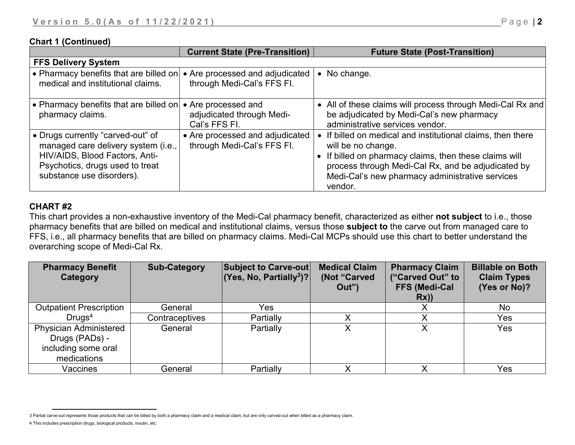## **Chart 1 (Continued)**

|                                                                                                                                                                            | <b>Current State (Pre-Transition)</b>                             | <b>Future State (Post-Transition)</b>                                                                                                                                                                                                                           |
|----------------------------------------------------------------------------------------------------------------------------------------------------------------------------|-------------------------------------------------------------------|-----------------------------------------------------------------------------------------------------------------------------------------------------------------------------------------------------------------------------------------------------------------|
| <b>FFS Delivery System</b>                                                                                                                                                 |                                                                   |                                                                                                                                                                                                                                                                 |
| • Pharmacy benefits that are billed on<br>medical and institutional claims.                                                                                                | • Are processed and adjudicated<br>through Medi-Cal's FFS FI.     | • No change.                                                                                                                                                                                                                                                    |
| • Pharmacy benefits that are billed on<br>pharmacy claims.                                                                                                                 | • Are processed and<br>adjudicated through Medi-<br>Cal's FFS FI. | • All of these claims will process through Medi-Cal Rx and<br>be adjudicated by Medi-Cal's new pharmacy<br>administrative services vendor.                                                                                                                      |
| • Drugs currently "carved-out" of<br>managed care delivery system (i.e.,<br>HIV/AIDS, Blood Factors, Anti-<br>Psychotics, drugs used to treat<br>substance use disorders). | • Are processed and adjudicated<br>through Medi-Cal's FFS FI.     | • If billed on medical and institutional claims, then there<br>will be no change.<br>• If billed on pharmacy claims, then these claims will<br>process through Medi-Cal Rx, and be adjudicated by<br>Medi-Cal's new pharmacy administrative services<br>vendor. |

## **CHART #2**

 $\overline{a}$ 

This chart provides a non-exhaustive inventory of the Medi-Cal pharmacy benefit, characterized as either **not subject** to i.e., those pharmacy benefits that are billed on medical and institutional claims, versus those **subject to** the carve out from managed care to FFS, i.e., all pharmacy benefits that are billed on pharmacy claims. Medi-Cal MCPs should use this chart to better understand the overarching scope of Medi-Cal Rx.

| <b>Pharmacy Benefit</b><br>Category             | <b>Sub-Category</b> | <b>Subject to Carve-out</b><br>$ (Yes, No, Partially3)$ ? | <b>Medical Claim</b><br>(Not "Carved<br>Out" | <b>Pharmacy Claim</b><br>("Carved Out" to<br><b>FFS (Medi-Cal</b><br>Rx) | <b>Billable on Both</b><br><b>Claim Types</b><br>(Yes or No)? |
|-------------------------------------------------|---------------------|-----------------------------------------------------------|----------------------------------------------|--------------------------------------------------------------------------|---------------------------------------------------------------|
| <b>Outpatient Prescription</b>                  | General             | Yes                                                       |                                              |                                                                          | <b>No</b>                                                     |
| Drugs <sup>4</sup>                              | Contraceptives      | Partially                                                 |                                              |                                                                          | Yes                                                           |
| <b>Physician Administered</b><br>Drugs (PADs) - | General             | Partially                                                 | Χ                                            |                                                                          | Yes                                                           |
| including some oral                             |                     |                                                           |                                              |                                                                          |                                                               |
| medications                                     |                     |                                                           |                                              |                                                                          |                                                               |
| Vaccines                                        | General             | Partially                                                 |                                              |                                                                          | Yes                                                           |

<sup>3</sup> Partial carve-out represents those products that can be billed by both a pharmacy claim and a medical claim, but are only carved-out when billed as a pharmacy claim.

<sup>4</sup> This includes prescription drugs, biological products, insulin, etc.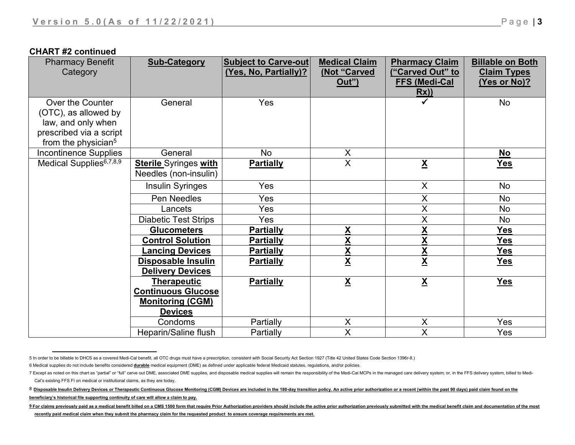## **CHART #2 continued**

| <b>Pharmacy Benefit</b><br>Category                                                                                          | <b>Sub-Category</b>                                                                          | <b>Subject to Carve-out</b><br>Yes, No, Partially)? | <b>Medical Claim</b><br>(Not "Carved<br><u>Out")</u> | <b>Pharmacy Claim</b><br>("Carved Out" to<br><b>FFS (Medi-Cal</b><br>Rx) | <b>Billable on Both</b><br><b>Claim Types</b><br><u>(Yes or No)?</u> |
|------------------------------------------------------------------------------------------------------------------------------|----------------------------------------------------------------------------------------------|-----------------------------------------------------|------------------------------------------------------|--------------------------------------------------------------------------|----------------------------------------------------------------------|
| Over the Counter<br>(OTC), as allowed by<br>law, and only when<br>prescribed via a script<br>from the physician <sup>5</sup> | General                                                                                      | Yes                                                 |                                                      |                                                                          | No                                                                   |
| <b>Incontinence Supplies</b>                                                                                                 | General                                                                                      | <b>No</b>                                           | X                                                    |                                                                          | <b>No</b>                                                            |
| Medical Supplies <sup>6,7,8,9</sup>                                                                                          | <b>Sterile Syringes with</b><br>Needles (non-insulin)                                        | <b>Partially</b>                                    | $\overline{\mathsf{x}}$                              | $\underline{\mathbf{X}}$                                                 | <u>Yes</u>                                                           |
|                                                                                                                              | <b>Insulin Syringes</b>                                                                      | Yes                                                 |                                                      | $\mathsf{X}$                                                             | No                                                                   |
|                                                                                                                              | Pen Needles                                                                                  | Yes                                                 |                                                      | X                                                                        | No                                                                   |
|                                                                                                                              | Lancets                                                                                      | Yes                                                 |                                                      | $\sf X$                                                                  | No                                                                   |
|                                                                                                                              | <b>Diabetic Test Strips</b>                                                                  | Yes                                                 |                                                      | X                                                                        | No                                                                   |
|                                                                                                                              | <b>Glucometers</b>                                                                           | <b>Partially</b>                                    | $\underline{\mathsf{X}}$                             | X                                                                        | <b>Yes</b>                                                           |
|                                                                                                                              | <b>Control Solution</b>                                                                      | <b>Partially</b>                                    | X                                                    | X                                                                        | <b>Yes</b>                                                           |
|                                                                                                                              | <b>Lancing Devices</b>                                                                       | <b>Partially</b>                                    |                                                      | $\underline{\mathsf{X}}$                                                 | <b>Yes</b>                                                           |
|                                                                                                                              | <b>Disposable Insulin</b><br><b>Delivery Devices</b>                                         | <b>Partially</b>                                    | $rac{\mathbf{X}}{\mathbf{X}}$                        | $\underline{\mathsf{X}}$                                                 | <b>Yes</b>                                                           |
|                                                                                                                              | <b>Therapeutic</b><br><b>Continuous Glucose</b><br><b>Monitoring (CGM)</b><br><b>Devices</b> | <b>Partially</b>                                    | $\underline{\mathsf{X}}$                             | $\underline{\mathsf{X}}$                                                 | Yes                                                                  |
|                                                                                                                              | Condoms                                                                                      | Partially                                           | X                                                    | X                                                                        | Yes                                                                  |
|                                                                                                                              | Heparin/Saline flush                                                                         | Partially                                           | $\overline{\mathsf{X}}$                              | X                                                                        | Yes                                                                  |

 $\overline{a}$ 5 In order to be billable to DHCS as a covered Medi-Cal benefit, all OTC drugs must have a prescription, consistent with Social Security Act Section 1927 (Title 42 United States Code Section 1396r-8.)

<sup>6</sup> Medical supplies do not include benefits considered **durable** medical equipment (DME) as defined under applicable federal Medicaid statutes, regulations, and/or policies.

<sup>7</sup> Except as noted on this chart as "partial" or "full" carve out DME, associated DME supplies, and disposable medical supplies will remain the responsibility of the Medi-Cal MCPs in the managed care delivery system; or, in Cal's existing FFS FI on medical or institutional claims, as they are today.

<sup>8</sup> Disposable Insulin Delivery Devices or Therapeutic Continuous Glucose Monitoring (CGM) Devices are included in the 180-day transition policy. An active prior authorization or a recent (within the past 90 days) paid claim **beneficiary's historical file supporting continuity of care will allow a claim to pay.**

<sup>9</sup> For claims previously paid as a medical benefit billed on a CMS 1500 form that require Prior Authorization providers should include the active prior authorization previously submitted with the medical benefit claim and d **recently paid medical claim when they submit the pharmacy claim for the requested product to ensure coverage requirements are met.**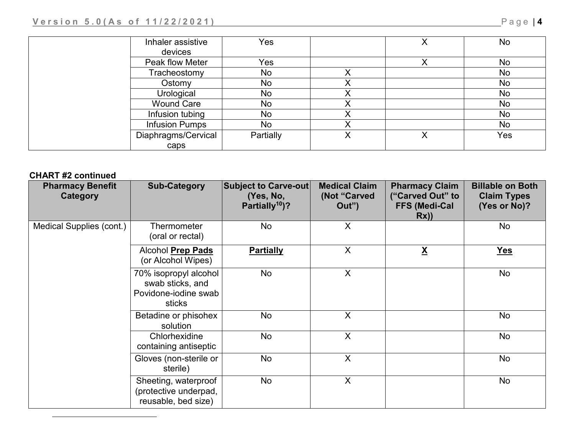| Inhaler assistive<br>devices | <b>Yes</b> | $\checkmark$ | <b>No</b> |
|------------------------------|------------|--------------|-----------|
| Peak flow Meter              | Yes        |              | <b>No</b> |
| Tracheostomy                 | No         |              | <b>No</b> |
| Ostomy                       | No         |              | No        |
| Urological                   | No         |              | No        |
| <b>Wound Care</b>            | No         |              | No        |
| Infusion tubing              | No         |              | <b>No</b> |
| <b>Infusion Pumps</b>        | No         |              | No        |
| Diaphragms/Cervical          | Partially  |              | Yes       |
| caps                         |            |              |           |

# **CHART #2 continued**

l

| <b>Pharmacy Benefit</b><br>Category | <b>Sub-Category</b>                                                         | <b>Subject to Carve-out</b><br>(Yes, No,<br>Partially <sup>10</sup> )? | <b>Medical Claim</b><br>(Not "Carved<br>Out") | <b>Pharmacy Claim</b><br>("Carved Out" to<br><b>FFS (Medi-Cal</b><br>Rx) | <b>Billable on Both</b><br><b>Claim Types</b><br>(Yes or No)? |
|-------------------------------------|-----------------------------------------------------------------------------|------------------------------------------------------------------------|-----------------------------------------------|--------------------------------------------------------------------------|---------------------------------------------------------------|
| Medical Supplies (cont.)            | Thermometer<br>(oral or rectal)                                             | No                                                                     | X                                             |                                                                          | No                                                            |
|                                     | Alcohol Prep Pads<br>(or Alcohol Wipes)                                     | <b>Partially</b>                                                       | X                                             | $\underline{\mathsf{X}}$                                                 | <u>Yes</u>                                                    |
|                                     | 70% isopropyl alcohol<br>swab sticks, and<br>Povidone-iodine swab<br>sticks | No                                                                     | X                                             |                                                                          | No                                                            |
|                                     | Betadine or phisohex<br>solution                                            | No                                                                     | X                                             |                                                                          | No                                                            |
|                                     | Chlorhexidine<br>containing antiseptic                                      | No                                                                     | X                                             |                                                                          | No                                                            |
|                                     | Gloves (non-sterile or<br>sterile)                                          | No                                                                     | X                                             |                                                                          | No                                                            |
|                                     | Sheeting, waterproof<br>(protective underpad,<br>reusable, bed size)        | No                                                                     | X                                             |                                                                          | No                                                            |